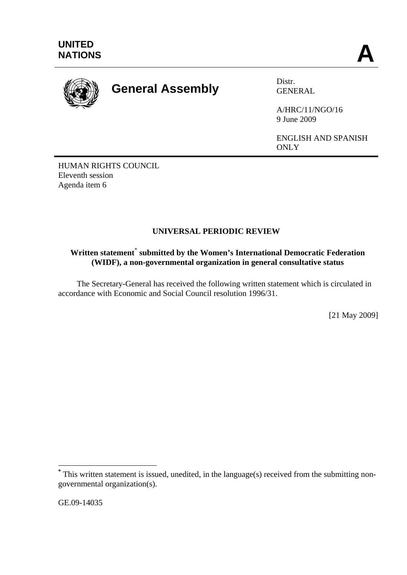

## **General Assembly** Distr.

GENERAL

A/HRC/11/NGO/16 9 June 2009

ENGLISH AND SPANISH ONLY

HUMAN RIGHTS COUNCIL Eleventh session Agenda item 6

## **UNIVERSAL PERIODIC REVIEW**

## **Written statement**\*  **submitted by the Women's International Democratic Federation (WIDF), a non-governmental organization in general consultative status**

 The Secretary-General has received the following written statement which is circulated in accordance with Economic and Social Council resolution 1996/31.

[21 May 2009]

GE.09-14035

 $\overline{a}$ 

**<sup>\*</sup>** This written statement is issued, unedited, in the language(s) received from the submitting nongovernmental organization(s).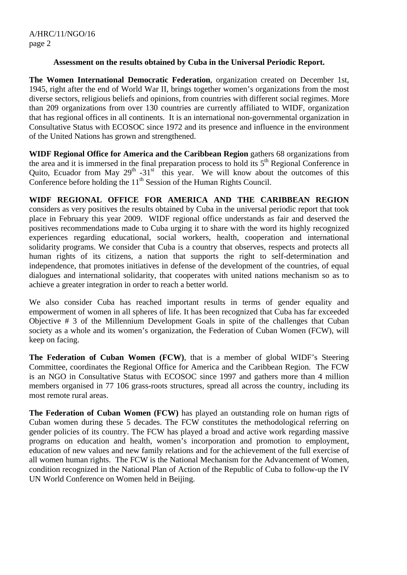## **Assessment on the results obtained by Cuba in the Universal Periodic Report.**

**The Women International Democratic Federation**, organization created on December 1st, 1945, right after the end of World War II, brings together women's organizations from the most diverse sectors, religious beliefs and opinions, from countries with different social regimes. More than 209 organizations from over 130 countries are currently affiliated to WIDF, organization that has regional offices in all continents. It is an international non-governmental organization in Consultative Status with ECOSOC since 1972 and its presence and influence in the environment of the United Nations has grown and strengthened.

**WIDF Regional Office for America and the Caribbean Region** gathers 68 organizations from the area and it is immersed in the final preparation process to hold its 5th Regional Conference in Quito, Ecuador from May  $29<sup>th</sup> - 31<sup>st</sup>$  this year. We will know about the outcomes of this Conference before holding the  $11<sup>th</sup>$  Session of the Human Rights Council.

**WIDF REGIONAL OFFICE FOR AMERICA AND THE CARIBBEAN REGION** considers as very positives the results obtained by Cuba in the universal periodic report that took place in February this year 2009. WIDF regional office understands as fair and deserved the positives recommendations made to Cuba urging it to share with the word its highly recognized experiences regarding educational, social workers, health, cooperation and international solidarity programs. We consider that Cuba is a country that observes, respects and protects all human rights of its citizens, a nation that supports the right to self-determination and independence, that promotes initiatives in defense of the development of the countries, of equal dialogues and international solidarity, that cooperates with united nations mechanism so as to achieve a greater integration in order to reach a better world.

We also consider Cuba has reached important results in terms of gender equality and empowerment of women in all spheres of life. It has been recognized that Cuba has far exceeded Objective # 3 of the Millennium Development Goals in spite of the challenges that Cuban society as a whole and its women's organization, the Federation of Cuban Women (FCW), will keep on facing.

**The Federation of Cuban Women (FCW)**, that is a member of global WIDF's Steering Committee, coordinates the Regional Office for America and the Caribbean Region. The FCW is an NGO in Consultative Status with ECOSOC since 1997 and gathers more than 4 million members organised in 77 106 grass-roots structures, spread all across the country, including its most remote rural areas.

**The Federation of Cuban Women (FCW)** has played an outstanding role on human rigts of Cuban women during these 5 decades. The FCW constitutes the methodological referring on gender policies of its country. The FCW has played a broad and active work regarding massive programs on education and health, women's incorporation and promotion to employment, education of new values and new family relations and for the achievement of the full exercise of all women human rights. The FCW is the National Mechanism for the Advancement of Women, condition recognized in the National Plan of Action of the Republic of Cuba to follow-up the IV UN World Conference on Women held in Beijing.